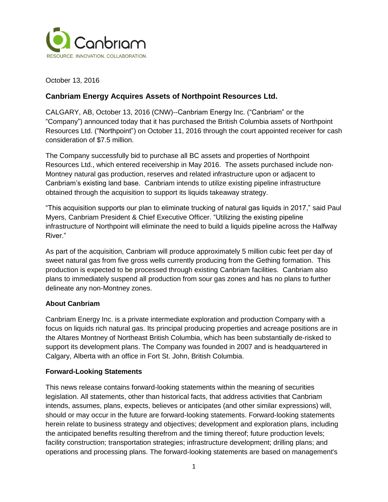

October 13, 2016

## **Canbriam Energy Acquires Assets of Northpoint Resources Ltd.**

CALGARY, AB, October 13, 2016 (CNW)--Canbriam Energy Inc. ("Canbriam" or the "Company") announced today that it has purchased the British Columbia assets of Northpoint Resources Ltd. ("Northpoint") on October 11, 2016 through the court appointed receiver for cash consideration of \$7.5 million.

The Company successfully bid to purchase all BC assets and properties of Northpoint Resources Ltd., which entered receivership in May 2016. The assets purchased include non-Montney natural gas production, reserves and related infrastructure upon or adjacent to Canbriam's existing land base. Canbriam intends to utilize existing pipeline infrastructure obtained through the acquisition to support its liquids takeaway strategy.

"This acquisition supports our plan to eliminate trucking of natural gas liquids in 2017," said Paul Myers, Canbriam President & Chief Executive Officer. "Utilizing the existing pipeline infrastructure of Northpoint will eliminate the need to build a liquids pipeline across the Halfway River."

As part of the acquisition, Canbriam will produce approximately 5 million cubic feet per day of sweet natural gas from five gross wells currently producing from the Gething formation. This production is expected to be processed through existing Canbriam facilities. Canbriam also plans to immediately suspend all production from sour gas zones and has no plans to further delineate any non-Montney zones.

## **About Canbriam**

Canbriam Energy Inc. is a private intermediate exploration and production Company with a focus on liquids rich natural gas. Its principal producing properties and acreage positions are in the Altares Montney of Northeast British Columbia, which has been substantially de-risked to support its development plans. The Company was founded in 2007 and is headquartered in Calgary, Alberta with an office in Fort St. John, British Columbia.

## **Forward-Looking Statements**

This news release contains forward-looking statements within the meaning of securities legislation. All statements, other than historical facts, that address activities that Canbriam intends, assumes, plans, expects, believes or anticipates (and other similar expressions) will, should or may occur in the future are forward-looking statements. Forward-looking statements herein relate to business strategy and objectives; development and exploration plans, including the anticipated benefits resulting therefrom and the timing thereof; future production levels; facility construction; transportation strategies; infrastructure development; drilling plans; and operations and processing plans. The forward-looking statements are based on management's